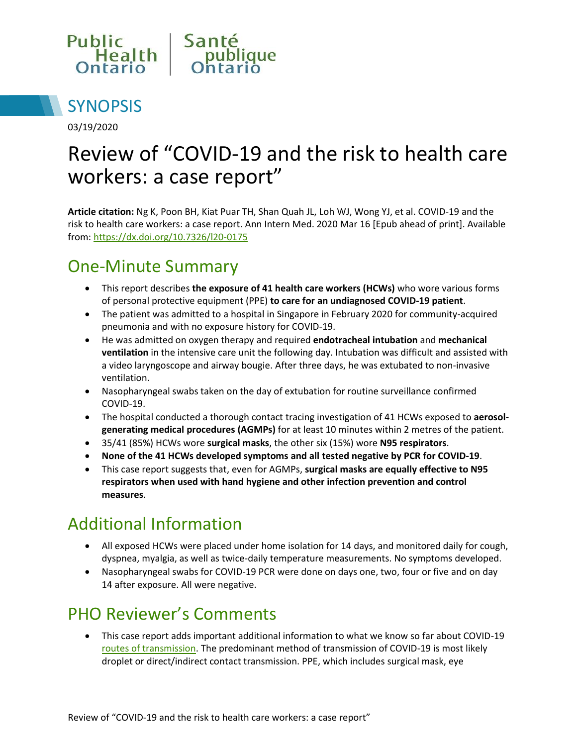



03/19/2020

# Review of "COVID-19 and the risk to health care workers: a case report"

**Article citation:** Ng K, Poon BH, Kiat Puar TH, Shan Quah JL, Loh WJ, Wong YJ, et al. COVID-19 and the risk to health care workers: a case report. Ann Intern Med. 2020 Mar 16 [Epub ahead of print]. Available from:<https://dx.doi.org/10.7326/l20-0175>

### One-Minute Summary

- This report describes **the exposure of 41 health care workers (HCWs)** who wore various forms of personal protective equipment (PPE) **to care for an undiagnosed COVID-19 patient**.
- The patient was admitted to a hospital in Singapore in February 2020 for community-acquired pneumonia and with no exposure history for COVID-19.
- He was admitted on oxygen therapy and required **endotracheal intubation** and **mechanical ventilation** in the intensive care unit the following day. Intubation was difficult and assisted with a video laryngoscope and airway bougie. After three days, he was extubated to non-invasive ventilation.
- Nasopharyngeal swabs taken on the day of extubation for routine surveillance confirmed COVID-19.
- The hospital conducted a thorough contact tracing investigation of 41 HCWs exposed to **aerosolgenerating medical procedures (AGMPs)** for at least 10 minutes within 2 metres of the patient.
- 35/41 (85%) HCWs wore **surgical masks**, the other six (15%) wore **N95 respirators**.
- **None of the 41 HCWs developed symptoms and all tested negative by PCR for COVID-19**.
- This case report suggests that, even for AGMPs, **surgical masks are equally effective to N95 respirators when used with hand hygiene and other infection prevention and control measures**.

# Additional Information

- All exposed HCWs were placed under home isolation for 14 days, and monitored daily for cough, dyspnea, myalgia, as well as twice-daily temperature measurements. No symptoms developed.
- Nasopharyngeal swabs for COVID-19 PCR were done on days one, two, four or five and on day 14 after exposure. All were negative.

# PHO Reviewer's Comments

 This case report adds important additional information to what we know so far about COVID-19 [routes of transmission.](https://www.publichealthontario.ca/-/media/documents/ncov/wwksf-routes-transmission-mar-06-2020.pdf?la=en) The predominant method of transmission of COVID-19 is most likely droplet or direct/indirect contact transmission. PPE, which includes surgical mask, eye